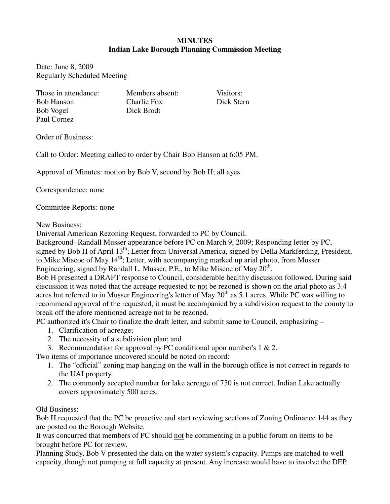## **MINUTES Indian Lake Borough Planning Commission Meeting**

Date: June 8, 2009 Regularly Scheduled Meeting

Those in attendance: Members absent: Visitors: Bob Hanson Charlie Fox Dick Stern Bob Vogel Dick Brodt Paul Cornez

Order of Business:

Call to Order: Meeting called to order by Chair Bob Hanson at 6:05 PM.

Approval of Minutes: motion by Bob V, second by Bob H; all ayes.

Correspondence: none

Committee Reports: none

New Business:

Universal American Rezoning Request, forwarded to PC by Council.

Background- Randall Musser appearance before PC on March 9, 2009; Responding letter by PC, signed by Bob H of April 13<sup>th</sup>; Letter from Universal America, signed by Della Markferding, President, to Mike Miscoe of May 14<sup>th</sup>; Letter, with accompanying marked up arial photo, from Musser Engineering, signed by Randall L. Musser, P.E., to Mike Miscoe of May  $20^{\text{th}}$ .

Bob H presented a DRAFT response to Council, considerable healthy discussion followed. During said discussion it was noted that the acreage requested to not be rezoned is shown on the arial photo as 3.4 acres but referred to in Musser Engineering's letter of May  $20<sup>th</sup>$  as 5.1 acres. While PC was willing to recommend approval of the requested, it must be accompanied by a subdivision request to the county to break off the afore mentioned acreage not to be rezoned.

PC authorized it's Chair to finalize the draft letter, and submit same to Council, emphasizing –

- 1. Clarification of acreage;
- 2. The necessity of a subdivision plan; and
- 3. Recommendation for approval by PC conditional upon number's 1 & 2.

Two items of importance uncovered should be noted on record:

- 1. The "official" zoning map hanging on the wall in the borough office is not correct in regards to the UAI property.
- 2. The commonly accepted number for lake acreage of 750 is not correct. Indian Lake actually covers approximately 500 acres.

## Old Business:

Bob H requested that the PC be proactive and start reviewing sections of Zoning Ordinance 144 as they are posted on the Borough Website.

It was concurred that members of PC should not be commenting in a public forum on items to be brought before PC for review.

Planning Study, Bob V presented the data on the water system's capacity. Pumps are matched to well capacity, though not pumping at full capacity at present. Any increase would have to involve the DEP.